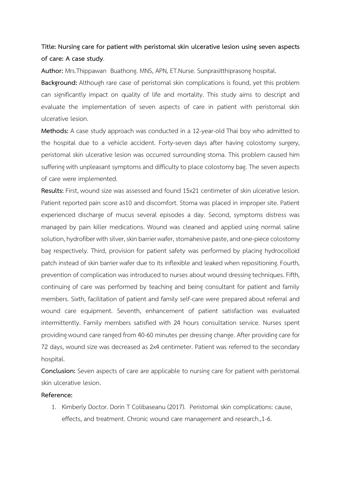## **Title: Nursing care for patient with peristomal skin ulcerative lesion using seven aspects of care: A case study**.

**Author:** Mrs.Thippawan Buathong. MNS, APN, ET.Nurse. Sunprasitthiprasong hospital.

**Background:** Although rare case of peristomal skin complications is found, yet this problem can significantly impact on quality of life and mortality. This study aims to descript and evaluate the implementation of seven aspects of care in patient with peristomal skin ulcerative lesion.

**Methods:** A case study approach was conducted in a 12-year-old Thai boy who admitted to the hospital due to a vehicle accident. Forty-seven days after having colostomy surgery, peristomal skin ulcerative lesion was occurred surrounding stoma. This problem caused him suffering with unpleasant symptoms and difficulty to place colostomy bag. The seven aspects of care were implemented.

**Results:** First, wound size was assessed and found 15x21 centimeter of skin ulcerative lesion. Patient reported pain score as10 and discomfort. Stoma was placed in improper site. Patient experienced discharge of mucus several episodes a day. Second, symptoms distress was managed by pain killer medications. Wound was cleaned and applied using normal saline solution, hydrofiber with silver, skin barrier wafer, stomahesive paste, and one-piece colostomy bag respectively. Third, provision for patient safety was performed by placing hydrocolloid patch instead of skin barrier wafer due to its inflexible and leaked when repositioning. Fourth, prevention of complication was introduced to nurses about wound dressing techniques. Fifth, continuing of care was performed by teaching and being consultant for patient and family members. Sixth, facilitation of patient and family self-care were prepared about referral and wound care equipment. Seventh, enhancement of patient satisfaction was evaluated intermittently. Family members satisfied with 24 hours consultation service. Nurses spent providing wound care ranged from 40-60 minutes per dressing change. After providingcare for 72 days, wound size was decreased as 2x4 centimeter. Patient was referred to the secondary hospital.

**Conclusion:** Seven aspects of care are applicable to nursing care for patient with peristomal skin ulcerative lesion.

## **Reference:**

1. Kimberly Doctor. Dorin T Colibaseanu (2017). Peristomal skin complications: cause, effects, and treatment. Chronic wound care management and research.,1-6.